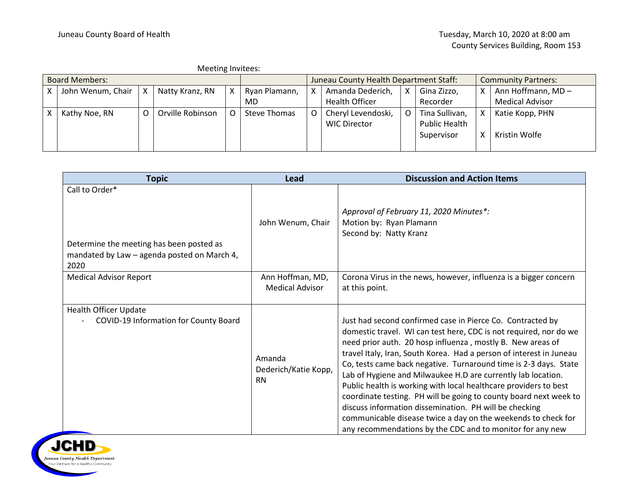|                       | Meeting Invitees: |   |                  |   |                                        |  |                       |   |                            |   |                        |
|-----------------------|-------------------|---|------------------|---|----------------------------------------|--|-----------------------|---|----------------------------|---|------------------------|
| <b>Board Members:</b> |                   |   |                  |   | Juneau County Health Department Staff: |  |                       |   | <b>Community Partners:</b> |   |                        |
|                       | John Wenum, Chair |   | Natty Kranz, RN  | х | Ryan Plamann,                          |  | Amanda Dederich,      | х | Gina Zizzo,                | X | Ann Hoffmann, MD-      |
|                       |                   |   |                  |   | MD                                     |  | <b>Health Officer</b> |   | Recorder                   |   | <b>Medical Advisor</b> |
|                       | Kathy Noe, RN     | O | Orville Robinson |   | <b>Steve Thomas</b>                    |  | Cheryl Levendoski,    | O | Tina Sullivan,             | х | Katie Kopp, PHN        |
|                       |                   |   |                  |   |                                        |  | <b>WIC Director</b>   |   | <b>Public Health</b>       |   |                        |
|                       |                   |   |                  |   |                                        |  |                       |   | Supervisor                 | x | Kristin Wolfe          |
|                       |                   |   |                  |   |                                        |  |                       |   |                            |   |                        |

| <b>Topic</b>                                                                                                      | <b>Lead</b>                                 | <b>Discussion and Action Items</b>                                                                                                                                                                                                                                                                                                                                                                                                                                                                                                                                                                                                                                                                                                        |
|-------------------------------------------------------------------------------------------------------------------|---------------------------------------------|-------------------------------------------------------------------------------------------------------------------------------------------------------------------------------------------------------------------------------------------------------------------------------------------------------------------------------------------------------------------------------------------------------------------------------------------------------------------------------------------------------------------------------------------------------------------------------------------------------------------------------------------------------------------------------------------------------------------------------------------|
| Call to Order*<br>Determine the meeting has been posted as<br>mandated by Law - agenda posted on March 4,<br>2020 | John Wenum, Chair                           | Approval of February 11, 2020 Minutes*:<br>Motion by: Ryan Plamann<br>Second by: Natty Kranz                                                                                                                                                                                                                                                                                                                                                                                                                                                                                                                                                                                                                                              |
| <b>Medical Advisor Report</b>                                                                                     | Ann Hoffman, MD,<br><b>Medical Advisor</b>  | Corona Virus in the news, however, influenza is a bigger concern<br>at this point.                                                                                                                                                                                                                                                                                                                                                                                                                                                                                                                                                                                                                                                        |
| <b>Health Officer Update</b><br>COVID-19 Information for County Board                                             | Amanda<br>Dederich/Katie Kopp,<br><b>RN</b> | Just had second confirmed case in Pierce Co. Contracted by<br>domestic travel. WI can test here, CDC is not required, nor do we<br>need prior auth. 20 hosp influenza, mostly B. New areas of<br>travel Italy, Iran, South Korea. Had a person of interest in Juneau<br>Co, tests came back negative. Turnaround time is 2-3 days. State<br>Lab of Hygiene and Milwaukee H.D are currently lab location.<br>Public health is working with local healthcare providers to best<br>coordinate testing. PH will be going to county board next week to<br>discuss information dissemination. PH will be checking<br>communicable disease twice a day on the weekends to check for<br>any recommendations by the CDC and to monitor for any new |

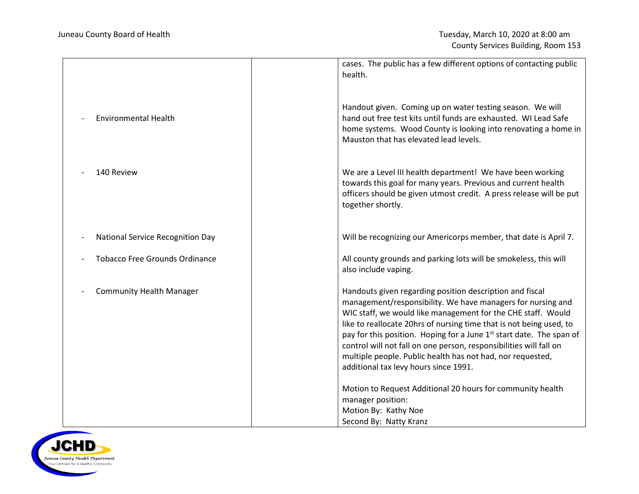|                                       | cases. The public has a few different options of contacting public<br>health.                                                                                                                                                                                                                                                                                                                                                                                                                                                   |
|---------------------------------------|---------------------------------------------------------------------------------------------------------------------------------------------------------------------------------------------------------------------------------------------------------------------------------------------------------------------------------------------------------------------------------------------------------------------------------------------------------------------------------------------------------------------------------|
| <b>Environmental Health</b>           | Handout given. Coming up on water testing season. We will<br>hand out free test kits until funds are exhausted. WI Lead Safe<br>home systems. Wood County is looking into renovating a home in<br>Mauston that has elevated lead levels.                                                                                                                                                                                                                                                                                        |
| 140 Review                            | We are a Level III health department! We have been working<br>towards this goal for many years. Previous and current health<br>officers should be given utmost credit. A press release will be put<br>together shortly.                                                                                                                                                                                                                                                                                                         |
| National Service Recognition Day      | Will be recognizing our Americorps member, that date is April 7.                                                                                                                                                                                                                                                                                                                                                                                                                                                                |
| <b>Tobacco Free Grounds Ordinance</b> | All county grounds and parking lots will be smokeless, this will<br>also include vaping.                                                                                                                                                                                                                                                                                                                                                                                                                                        |
| <b>Community Health Manager</b>       | Handouts given regarding position description and fiscal<br>management/responsibility. We have managers for nursing and<br>WIC staff, we would like management for the CHE staff. Would<br>like to reallocate 20hrs of nursing time that is not being used, to<br>pay for this position. Hoping for a June 1 <sup>st</sup> start date. The span of<br>control will not fall on one person, responsibilities will fall on<br>multiple people. Public health has not had, nor requested,<br>additional tax levy hours since 1991. |
|                                       | Motion to Request Additional 20 hours for community health<br>manager position:<br>Motion By: Kathy Noe<br>Second By: Natty Kranz                                                                                                                                                                                                                                                                                                                                                                                               |

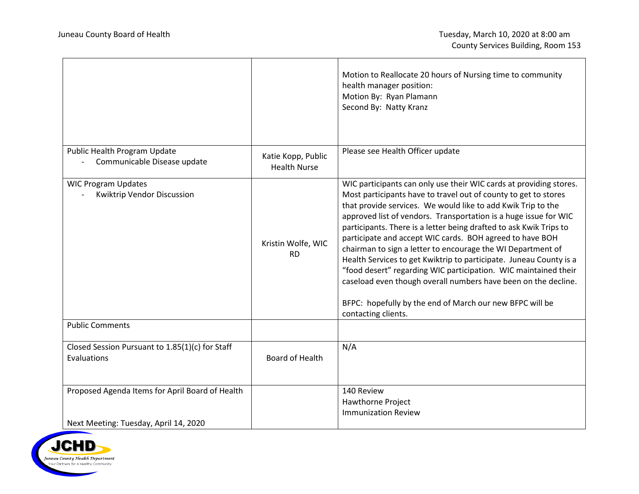|                                                                                          |                                           | Motion to Reallocate 20 hours of Nursing time to community<br>health manager position:<br>Motion By: Ryan Plamann<br>Second By: Natty Kranz                                                                                                                                                                                                                                                                                                                                                                                                                                                                                                                                                                                                                              |  |  |
|------------------------------------------------------------------------------------------|-------------------------------------------|--------------------------------------------------------------------------------------------------------------------------------------------------------------------------------------------------------------------------------------------------------------------------------------------------------------------------------------------------------------------------------------------------------------------------------------------------------------------------------------------------------------------------------------------------------------------------------------------------------------------------------------------------------------------------------------------------------------------------------------------------------------------------|--|--|
| Public Health Program Update<br>Communicable Disease update                              | Katie Kopp, Public<br><b>Health Nurse</b> | Please see Health Officer update                                                                                                                                                                                                                                                                                                                                                                                                                                                                                                                                                                                                                                                                                                                                         |  |  |
| <b>WIC Program Updates</b><br>Kwiktrip Vendor Discussion                                 | Kristin Wolfe, WIC<br><b>RD</b>           | WIC participants can only use their WIC cards at providing stores.<br>Most participants have to travel out of county to get to stores<br>that provide services. We would like to add Kwik Trip to the<br>approved list of vendors. Transportation is a huge issue for WIC<br>participants. There is a letter being drafted to ask Kwik Trips to<br>participate and accept WIC cards. BOH agreed to have BOH<br>chairman to sign a letter to encourage the WI Department of<br>Health Services to get Kwiktrip to participate. Juneau County is a<br>"food desert" regarding WIC participation. WIC maintained their<br>caseload even though overall numbers have been on the decline.<br>BFPC: hopefully by the end of March our new BFPC will be<br>contacting clients. |  |  |
| <b>Public Comments</b>                                                                   |                                           |                                                                                                                                                                                                                                                                                                                                                                                                                                                                                                                                                                                                                                                                                                                                                                          |  |  |
| Closed Session Pursuant to 1.85(1)(c) for Staff<br>Evaluations                           | Board of Health                           | N/A                                                                                                                                                                                                                                                                                                                                                                                                                                                                                                                                                                                                                                                                                                                                                                      |  |  |
| Proposed Agenda Items for April Board of Health<br>Next Meeting: Tuesday, April 14, 2020 |                                           | 140 Review<br>Hawthorne Project<br><b>Immunization Review</b>                                                                                                                                                                                                                                                                                                                                                                                                                                                                                                                                                                                                                                                                                                            |  |  |